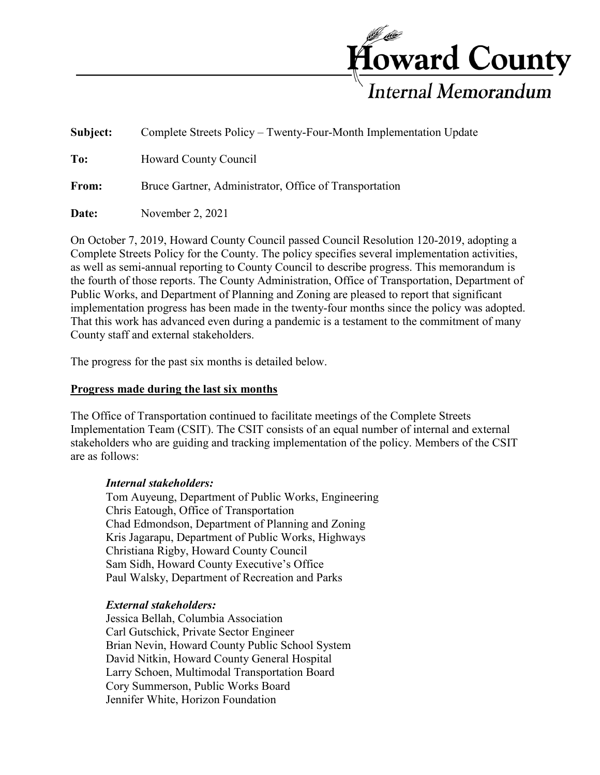

| Subject: | Complete Streets Policy – Twenty-Four-Month Implementation Update |
|----------|-------------------------------------------------------------------|
| To:      | Howard County Council                                             |
| From:    | Bruce Gartner, Administrator, Office of Transportation            |
| Date:    | November $2, 2021$                                                |

On October 7, 2019, Howard County Council passed Council Resolution 120-2019, adopting a Complete Streets Policy for the County. The policy specifies several implementation activities, as well as semi-annual reporting to County Council to describe progress. This memorandum is the fourth of those reports. The County Administration, Office of Transportation, Department of Public Works, and Department of Planning and Zoning are pleased to report that significant implementation progress has been made in the twenty-four months since the policy was adopted. That this work has advanced even during a pandemic is a testament to the commitment of many County staff and external stakeholders.

The progress for the past six months is detailed below.

## **Progress made during the last six months**

The Office of Transportation continued to facilitate meetings of the Complete Streets Implementation Team (CSIT). The CSIT consists of an equal number of internal and external stakeholders who are guiding and tracking implementation of the policy. Members of the CSIT are as follows:

#### *Internal stakeholders:*

Tom Auyeung, Department of Public Works, Engineering Chris Eatough, Office of Transportation Chad Edmondson, Department of Planning and Zoning Kris Jagarapu, Department of Public Works, Highways Christiana Rigby, Howard County Council Sam Sidh, Howard County Executive's Office Paul Walsky, Department of Recreation and Parks

#### *External stakeholders:*

Jessica Bellah, Columbia Association Carl Gutschick, Private Sector Engineer Brian Nevin, Howard County Public School System David Nitkin, Howard County General Hospital Larry Schoen, Multimodal Transportation Board Cory Summerson, Public Works Board Jennifer White, Horizon Foundation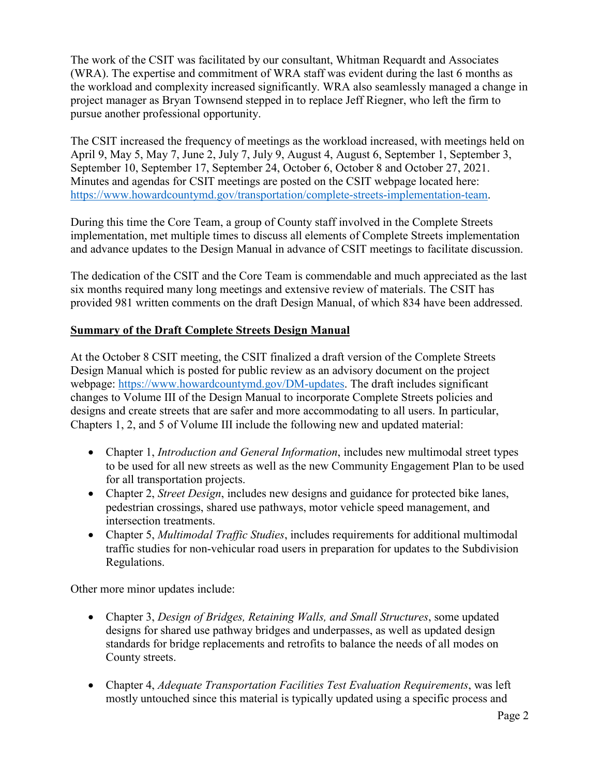The work of the CSIT was facilitated by our consultant, Whitman Requardt and Associates (WRA). The expertise and commitment of WRA staff was evident during the last 6 months as the workload and complexity increased significantly. WRA also seamlessly managed a change in project manager as Bryan Townsend stepped in to replace Jeff Riegner, who left the firm to pursue another professional opportunity.

The CSIT increased the frequency of meetings as the workload increased, with meetings held on April 9, May 5, May 7, June 2, July 7, July 9, August 4, August 6, September 1, September 3, September 10, September 17, September 24, October 6, October 8 and October 27, 2021. Minutes and agendas for CSIT meetings are posted on the CSIT webpage located here: [https://www.howardcountymd.gov/transportation/complete-streets-implementation-team.](https://www.howardcountymd.gov/transportation/complete-streets-implementation-team)

During this time the Core Team, a group of County staff involved in the Complete Streets implementation, met multiple times to discuss all elements of Complete Streets implementation and advance updates to the Design Manual in advance of CSIT meetings to facilitate discussion.

The dedication of the CSIT and the Core Team is commendable and much appreciated as the last six months required many long meetings and extensive review of materials. The CSIT has provided 981 written comments on the draft Design Manual, of which 834 have been addressed.

# **Summary of the Draft Complete Streets Design Manual**

At the October 8 CSIT meeting, the CSIT finalized a draft version of the Complete Streets Design Manual which is posted for public review as an advisory document on the project webpage: [https://www.howardcountymd.gov/DM-updates.](https://www.howardcountymd.gov/DM-updates) The draft includes significant changes to Volume III of the Design Manual to incorporate Complete Streets policies and designs and create streets that are safer and more accommodating to all users. In particular, Chapters 1, 2, and 5 of Volume III include the following new and updated material:

- Chapter 1, *Introduction and General Information*, includes new multimodal street types to be used for all new streets as well as the new Community Engagement Plan to be used for all transportation projects.
- Chapter 2, *Street Design*, includes new designs and guidance for protected bike lanes, pedestrian crossings, shared use pathways, motor vehicle speed management, and intersection treatments.
- Chapter 5, *Multimodal Traffic Studies*, includes requirements for additional multimodal traffic studies for non-vehicular road users in preparation for updates to the Subdivision Regulations.

Other more minor updates include:

- Chapter 3, *Design of Bridges, Retaining Walls, and Small Structures*, some updated designs for shared use pathway bridges and underpasses, as well as updated design standards for bridge replacements and retrofits to balance the needs of all modes on County streets.
- Chapter 4, *Adequate Transportation Facilities Test Evaluation Requirements*, was left mostly untouched since this material is typically updated using a specific process and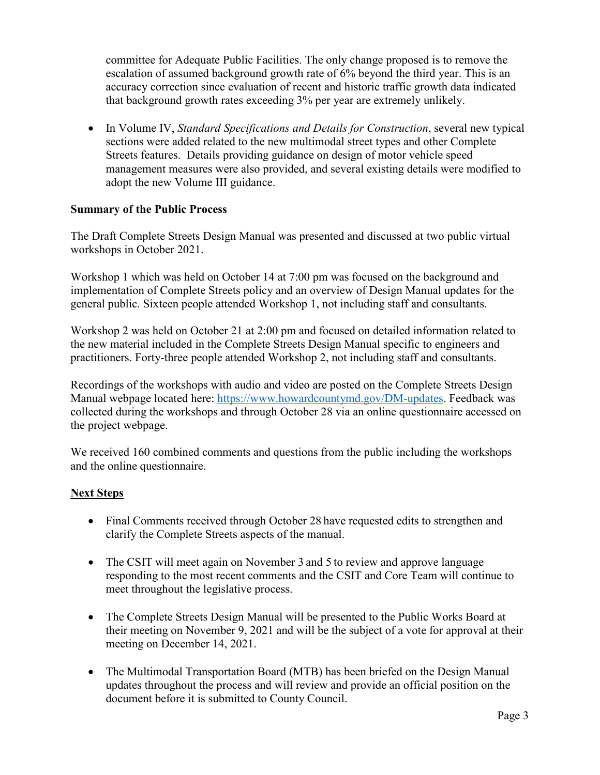committee for Adequate Public Facilities. The only change proposed is to remove the escalation of assumed background growth rate of 6% beyond the third year. This is an accuracy correction since evaluation of recent and historic traffic growth data indicated that background growth rates exceeding 3% per year are extremely unlikely.

• In Volume IV, *Standard Specifications and Details for Construction*, several new typical sections were added related to the new multimodal street types and other Complete Streets features. Details providing guidance on design of motor vehicle speed management measures were also provided, and several existing details were modified to adopt the new Volume III guidance.

### **Summary of the Public Process**

The Draft Complete Streets Design Manual was presented and discussed at two public virtual workshops in October 2021.

Workshop 1 which was held on October 14 at 7:00 pm was focused on the background and implementation of Complete Streets policy and an overview of Design Manual updates for the general public. Sixteen people attended Workshop 1, not including staff and consultants.

Workshop 2 was held on October 21 at 2:00 pm and focused on detailed information related to the new material included in the Complete Streets Design Manual specific to engineers and practitioners. Forty-three people attended Workshop 2, not including staff and consultants.

Recordings of the workshops with audio and video are posted on the Complete Streets Design Manual webpage located here: [https://www.howardcountymd.gov/DM-updates.](https://www.howardcountymd.gov/DM-updates) Feedback was collected during the workshops and through October 28 via an online questionnaire accessed on the project webpage.

We received 160 combined comments and questions from the public including the workshops and the online questionnaire.

# **Next Steps**

- Final Comments received through October 28 have requested edits to strengthen and clarify the Complete Streets aspects of the manual.
- The CSIT will meet again on November 3 and 5 to review and approve language responding to the most recent comments and the CSIT and Core Team will continue to meet throughout the legislative process.
- The Complete Streets Design Manual will be presented to the Public Works Board at their meeting on November 9, 2021 and will be the subject of a vote for approval at their meeting on December 14, 2021.
- The Multimodal Transportation Board (MTB) has been briefed on the Design Manual updates throughout the process and will review and provide an official position on the document before it is submitted to County Council.